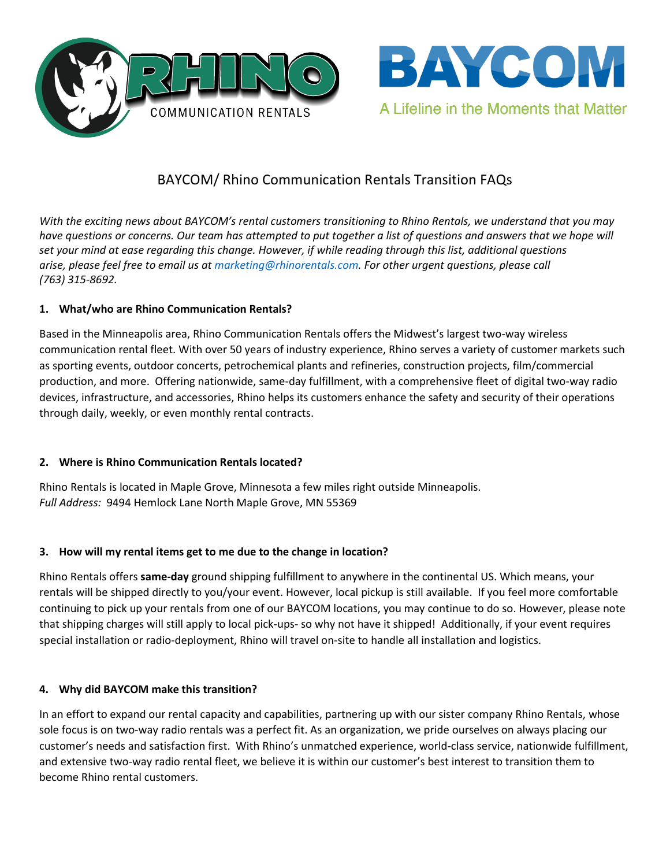



# BAYCOM/ Rhino Communication Rentals Transition FAQs

*With the exciting news about BAYCOM's rental customers transitioning to Rhino Rentals, we understand that you may have questions or concerns. Our team has attempted to put together a list of questions and answers that we hope will set your mind at ease regarding this change. However, if while reading through this list, additional questions arise, please feel free to email us at [marketing@rhinorentals.com.](mailto:marketing@rhinorentals.com) For other urgent questions, please call (763) 315-8692.*

# **1. What/who are Rhino Communication Rentals?**

Based in the Minneapolis area, Rhino Communication Rentals offers the Midwest's largest two-way wireless communication rental fleet. With over 50 years of industry experience, Rhino serves a variety of customer markets such as sporting events, outdoor concerts, petrochemical plants and refineries, construction projects, film/commercial production, and more. Offering nationwide, same-day fulfillment, with a comprehensive fleet of digital two-way radio devices, infrastructure, and accessories, Rhino helps its customers enhance the safety and security of their operations through daily, weekly, or even monthly rental contracts.

# **2. Where is Rhino Communication Rentals located?**

Rhino Rentals is located in Maple Grove, Minnesota a few miles right outside Minneapolis. *Full Address:* 9494 Hemlock Lane North Maple Grove, MN 55369

# **3. How will my rental items get to me due to the change in location?**

Rhino Rentals offers **same-day** ground shipping fulfillment to anywhere in the continental US. Which means, your rentals will be shipped directly to you/your event. However, local pickup is still available. If you feel more comfortable continuing to pick up your rentals from one of our BAYCOM locations, you may continue to do so. However, please note that shipping charges will still apply to local pick-ups- so why not have it shipped! Additionally, if your event requires special installation or radio-deployment, Rhino will travel on-site to handle all installation and logistics.

# **4. Why did BAYCOM make this transition?**

In an effort to expand our rental capacity and capabilities, partnering up with our sister company Rhino Rentals, whose sole focus is on two-way radio rentals was a perfect fit. As an organization, we pride ourselves on always placing our customer's needs and satisfaction first. With Rhino's unmatched experience, world-class service, nationwide fulfillment, and extensive two-way radio rental fleet, we believe it is within our customer's best interest to transition them to become Rhino rental customers.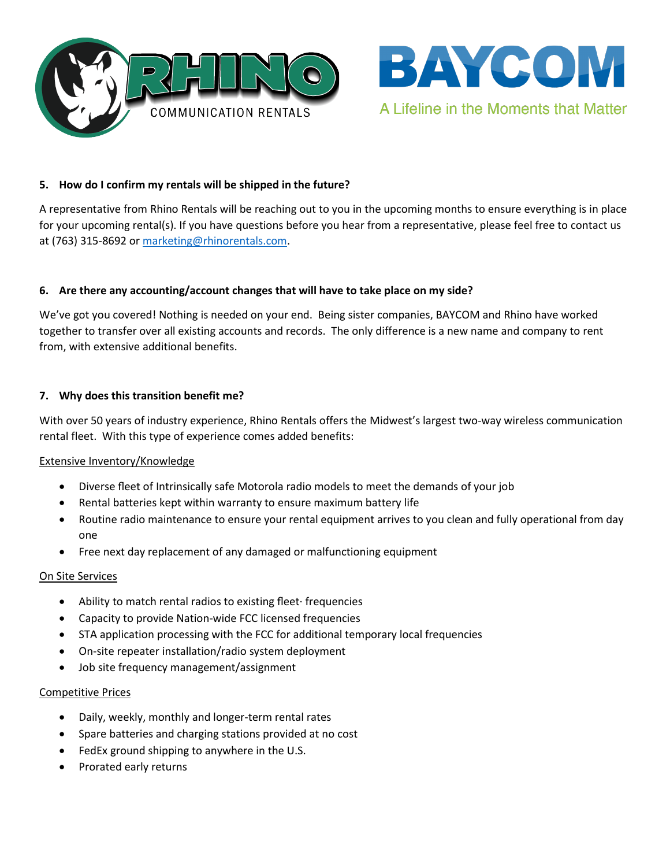



## **5. How do I confirm my rentals will be shipped in the future?**

A representative from Rhino Rentals will be reaching out to you in the upcoming months to ensure everything is in place for your upcoming rental(s). If you have questions before you hear from a representative, please feel free to contact us at (763) 315-8692 or [marketing@rhinorentals.com.](mailto:marketing@rhinorentals.com)

## **6. Are there any accounting/account changes that will have to take place on my side?**

We've got you covered! Nothing is needed on your end. Being sister companies, BAYCOM and Rhino have worked together to transfer over all existing accounts and records. The only difference is a new name and company to rent from, with extensive additional benefits.

## **7. Why does this transition benefit me?**

With over 50 years of industry experience, Rhino Rentals offers the Midwest's largest two-way wireless communication rental fleet. With this type of experience comes added benefits:

## Extensive Inventory/Knowledge

- Diverse fleet of Intrinsically safe Motorola radio models to meet the demands of your job
- Rental batteries kept within warranty to ensure maximum battery life
- Routine radio maintenance to ensure your rental equipment arrives to you clean and fully operational from day one
- Free next day replacement of any damaged or malfunctioning equipment

## On Site Services

- Ability to match rental radios to existing fleet∙ frequencies
- Capacity to provide Nation-wide FCC licensed frequencies
- STA application processing with the FCC for additional temporary local frequencies
- On-site repeater installation/radio system deployment
- Job site frequency management/assignment

## Competitive Prices

- Daily, weekly, monthly and longer-term rental rates
- Spare batteries and charging stations provided at no cost
- FedEx ground shipping to anywhere in the U.S.
- Prorated early returns